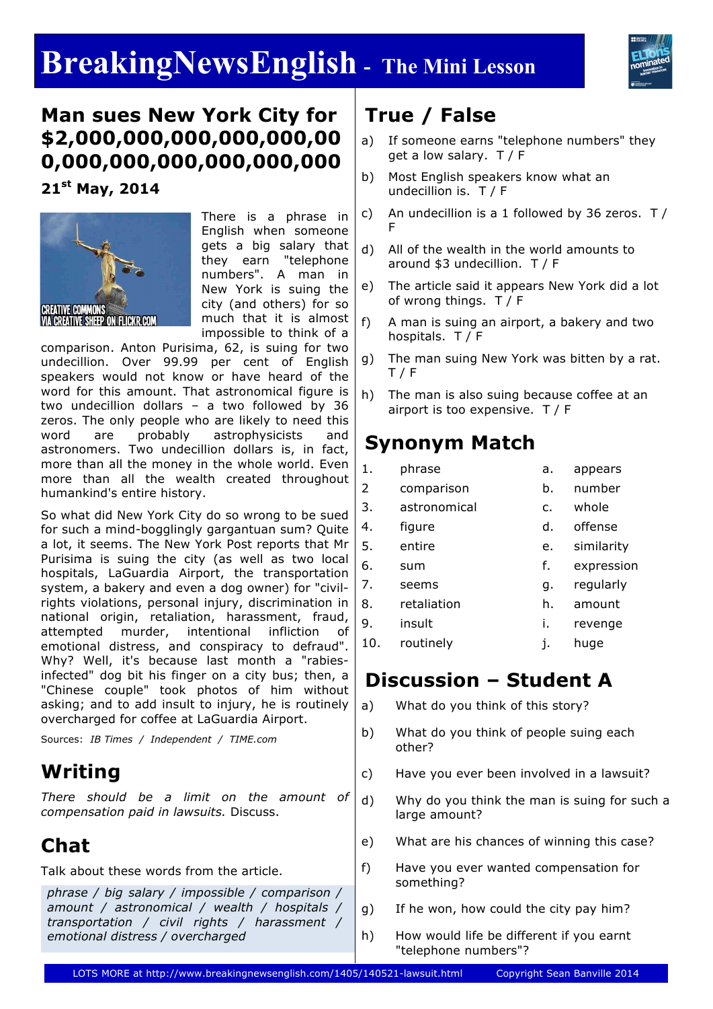# **BreakingNewsEnglish - The Mini Lesson**



# **Man sues New York City for \$2,000,000,000,000,000,00 0,000,000,000,000,000,000**

**21st May, 2014**



There is a phrase in English when someone gets a big salary that they earn "telephone numbers". A man in New York is suing the city (and others) for so much that it is almost impossible to think of a

comparison. Anton Purisima, 62, is suing for two undecillion. Over 99.99 per cent of English speakers would not know or have heard of the word for this amount. That astronomical figure is two undecillion dollars – a two followed by 36 zeros. The only people who are likely to need this word are probably astrophysicists and astronomers. Two undecillion dollars is, in fact, more than all the money in the whole world. Even more than all the wealth created throughout humankind's entire history.

So what did New York City do so wrong to be sued for such a mind-bogglingly gargantuan sum? Quite a lot, it seems. The New York Post reports that Mr Purisima is suing the city (as well as two local hospitals, LaGuardia Airport, the transportation system, a bakery and even a dog owner) for "civilrights violations, personal injury, discrimination in national origin, retaliation, harassment, fraud, attempted murder, intentional infliction of emotional distress, and conspiracy to defraud". Why? Well, it's because last month a "rabiesinfected" dog bit his finger on a city bus; then, a "Chinese couple" took photos of him without asking; and to add insult to injury, he is routinely overcharged for coffee at LaGuardia Airport.

Sources: *IB Times / Independent / TIME.com*

# **Writing**

*There should be a limit on the amount of compensation paid in lawsuits.* Discuss.

# **Chat**

Talk about these words from the article.

*phrase / big salary / impossible / comparison / amount / astronomical / wealth / hospitals / transportation / civil rights / harassment / emotional distress / overcharged*

# **True / False**

- a) If someone earns "telephone numbers" they get a low salary. T / F
- b) Most English speakers know what an undecillion is. T / F
- c) An undecillion is a 1 followed by 36 zeros.  $T/$ F
- d) All of the wealth in the world amounts to around \$3 undecillion. T / F
- e) The article said it appears New York did a lot of wrong things. T / F
- f) A man is suing an airport, a bakery and two hospitals. T / F
- g) The man suing New York was bitten by a rat. T / F
- h) The man is also suing because coffee at an airport is too expensive. T / F

# **Synonym Match**

| 1.  | phrase       | a. | appears    |
|-----|--------------|----|------------|
| 2   | comparison   | b. | number     |
| 3.  | astronomical | c. | whole      |
| 4.  | figure       | d. | offense    |
| 5.  | entire       | e. | similarity |
| 6.  | sum          | f. | expression |
| 7.  | seems        | g. | regularly  |
| 8.  | retaliation  | h. | amount     |
| 9.  | insult       | i. | revenge    |
| 10. | routinely    | j. | huge       |
|     |              |    |            |

## **Discussion – Student A**

- a) What do you think of this story?
- b) What do you think of people suing each other?
- c) Have you ever been involved in a lawsuit?
- d) Why do you think the man is suing for such a large amount?
- e) What are his chances of winning this case?
- f) Have you ever wanted compensation for something?
- g) If he won, how could the city pay him?
- h) How would life be different if you earnt "telephone numbers"?